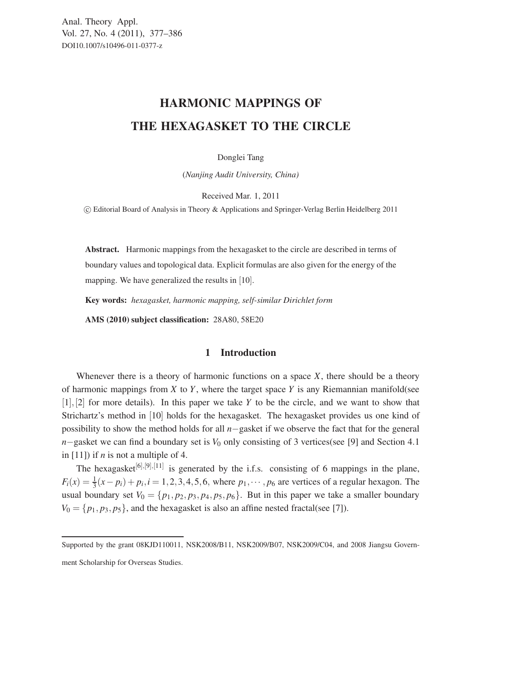## HARMONIC MAPPINGS OF THE HEXAGASKET TO THE CIRCLE

Donglei Tang

(*Nanjing Audit University, China)*

Received Mar. 1, 2011

-c Editorial Board of Analysis in Theory & Applications and Springer-Verlag Berlin Heidelberg 2011

Abstract. Harmonic mappings from the hexagasket to the circle are described in terms of boundary values and topological data. Explicit formulas are also given for the energy of the mapping. We have generalized the results in [10].

Key words: *hexagasket, harmonic mapping, self-similar Dirichlet form*

AMS (2010) subject classification: 28A80, 58E20

## 1 Introduction

Whenever there is a theory of harmonic functions on a space *X*, there should be a theory of harmonic mappings from *X* to *Y*, where the target space *Y* is any Riemannian manifold(see [1],[2] for more details). In this paper we take *Y* to be the circle, and we want to show that Strichartz's method in [10] holds for the hexagasket. The hexagasket provides us one kind of possibility to show the method holds for all *n*−gasket if we observe the fact that for the general *n*−gasket we can find a boundary set is *V*<sub>0</sub> only consisting of 3 vertices(see [9] and Section 4.1 in  $[11]$ ) if *n* is not a multiple of 4.

The hexagasket $[6]$ , $[9]$ , $[11]$  is generated by the i.f.s. consisting of 6 mappings in the plane,  $F_i(x) = \frac{1}{3}(x - p_i) + p_i, i = 1, 2, 3, 4, 5, 6$ , where  $p_1, \dots, p_6$  are vertices of a regular hexagon. The usual boundary set  $V_0 = \{p_1, p_2, p_3, p_4, p_5, p_6\}$ . But in this paper we take a smaller boundary  $V_0 = \{p_1, p_3, p_5\}$ , and the hexagasket is also an affine nested fractal(see [7]).

Supported by the grant 08KJD110011, NSK2008/B11, NSK2009/B07, NSK2009/C04, and 2008 Jiangsu Government Scholarship for Overseas Studies.